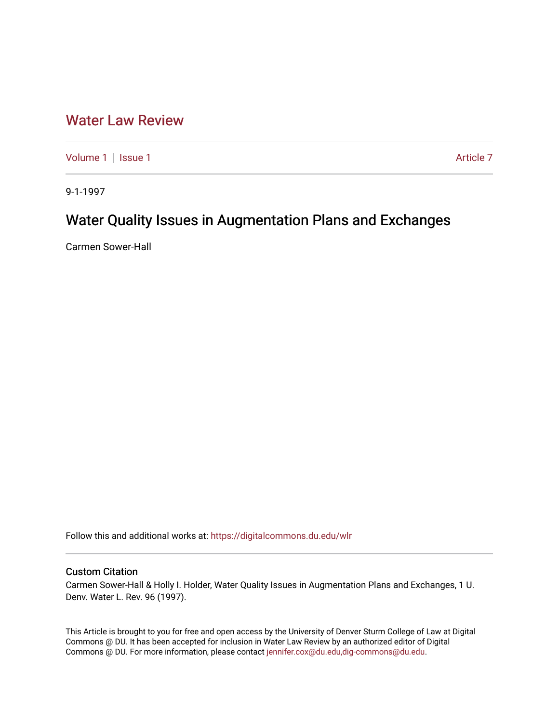# [Water Law Review](https://digitalcommons.du.edu/wlr)

[Volume 1](https://digitalcommons.du.edu/wlr/vol1) | [Issue 1](https://digitalcommons.du.edu/wlr/vol1/iss1) Article 7

9-1-1997

# Water Quality Issues in Augmentation Plans and Exchanges

Carmen Sower-Hall

Follow this and additional works at: [https://digitalcommons.du.edu/wlr](https://digitalcommons.du.edu/wlr?utm_source=digitalcommons.du.edu%2Fwlr%2Fvol1%2Fiss1%2F7&utm_medium=PDF&utm_campaign=PDFCoverPages) 

## Custom Citation

Carmen Sower-Hall & Holly I. Holder, Water Quality Issues in Augmentation Plans and Exchanges, 1 U. Denv. Water L. Rev. 96 (1997).

This Article is brought to you for free and open access by the University of Denver Sturm College of Law at Digital Commons @ DU. It has been accepted for inclusion in Water Law Review by an authorized editor of Digital Commons @ DU. For more information, please contact [jennifer.cox@du.edu,dig-commons@du.edu.](mailto:jennifer.cox@du.edu,dig-commons@du.edu)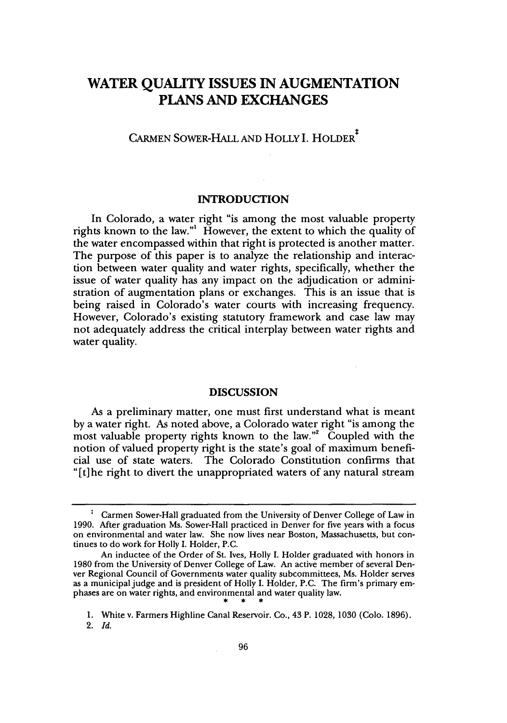# **WATER QUALITY ISSUES IN AUGMENTATION PLANS AND EXCHANGES**

**CARMEN** SOWER-HALL **AND** HOLLY **I.** HOLDER\*

### **INTRODUCTION**

In Colorado, a water right "is among the most valuable property rights known to the law."' However, the extent to which the quality of the water encompassed within that right is protected is another matter. The purpose of this paper is to analyze the relationship and interaction between water quality and water rights, specifically, whether the issue of water quality has any impact on the adjudication or administration of augmentation plans or exchanges. This is an issue that is being raised in Colorado's water courts with increasing frequency. However, Colorado's existing statutory framework and case law may not adequately address the critical interplay between water rights and water quality.

#### **DISCUSSION**

As a preliminary matter, one must first understand what is meant by a water right. As noted above, a Colorado water right "is among the most valuable property rights known to the law."<sup>2</sup> Coupled with the notion of valued property right is the state's goal of maximum beneficial use of state waters. The Colorado Constitution confirms that "[t]he right to divert the unappropriated waters of any natural stream

Carmen Sower-Hall graduated from the University of Denver College of Law in 1990. After graduation Ms. Sower-Hall practiced in Denver for five years with a focus on environmental and water law. She now lives near Boston, Massachusetts, but continues to do work for Holly I. Holder, P.C.

An inductee of the Order of St. Ives, Holly I. Holder graduated with honors in 1980 from the University of Denver College of Law. An active member of several Denver Regional Council of Governments water quality subcommittees, Ms. Holder serves as a municipal judge and is president of Holly I. Holder, P.C. The firm's primary emphases are on water rights, and environmental and water quality law. - 14

<sup>1.</sup> White v. Farmers Highline Canal Reservoir. Co., 43 P. 1028, 1030 (Colo. 1896).

<sup>2.</sup> *Id.*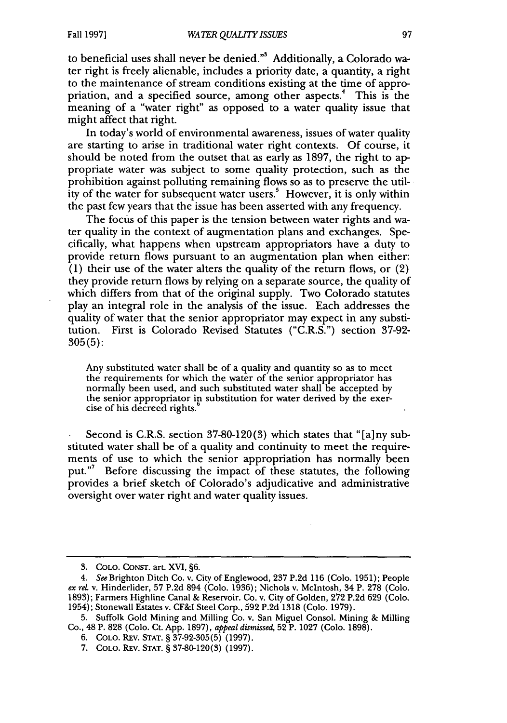to beneficial uses shall never be denied."' Additionally, a Colorado water right is freely alienable, includes a priority date, a quantity, a right to the maintenance of stream conditions existing at the time of appropriation, and a specified source, among other aspects.<sup>4</sup> This is the meaning of a "water right" as opposed to a water quality issue that might affect that right.

In today's world of environmental awareness, issues of water quality are starting to arise in traditional water right contexts. Of course, it should be noted from the outset that as early as 1897, the right to appropriate water was subject to some quality protection, such as the prohibition against polluting remaining flows so as to preserve the utility of the water for subsequent water users.<sup>5</sup> However, it is only within the past few years that the issue has been asserted with any frequency.

The focus of this paper is the tension between water rights and water quality in the context of augmentation plans and exchanges. Specifically, what happens when upstream appropriators have a duty to provide return flows pursuant to an augmentation plan when either:  $(1)$  their use of the water alters the quality of the return flows, or  $(2)$ they provide return flows by relying on a separate source, the quality of which differs from that of the original supply. Two Colorado statutes play an integral role in the analysis of the issue. Each addresses the quality of water that the senior appropriator may expect in any substitution. First is Colorado Revised Statutes ("C.R.S.") section 37-92- 305(5):

Any substituted water shall be of a quality and quantity so as to meet the requirements for which the water of the senior appropriator has normally been used, and such substituted water shall be accepted by the senior appropriator in substitution for water derived by the exercise of his decreed rights.<sup>1</sup>

Second is C.R.S. section 37-80-120(3) which states that "[a]ny substituted water shall be of a quality and continuity to meet the requirements of use to which the senior appropriation has normally been put."<sup>7</sup> Before discussing the impact of these statutes, the following provides a brief sketch of Colorado's adjudicative and administrative oversight over water right and water quality issues.

**<sup>3.</sup>** COLO. CONST. art. XVI, §6.

*<sup>4.</sup> See* Brighton Ditch Co. v. City of Englewood, 237 P.2d 116 (Colo. 1951); People *ex rel.* v. Hinderlider, 57 P.2d 894 (Colo. 1936); Nichols v. McIntosh, 34 P. 278 (Colo. 1893); Farmers Highline Canal & Reservoir. Co. v. City of Golden, 272 P.2d 629 (Colo. 1954); Stonewall Estates v. CF&I Steel Corp., 592 P.2d 1318 (Colo. 1979).

<sup>5.</sup> Suffolk Gold Mining and Milling Co. v. San Miguel Consol. Mining & Milling Co., 48 P. 828 (Colo. Ct. App. 1897), *appeal dismissed,* 52 P. 1027 (Colo. 1898).

<sup>6.</sup> COLO. REv. STAT. § 37-92-305(5) (1997).

<sup>7.</sup> COLO. REV. STAT. § 37-80-120(3) (1997).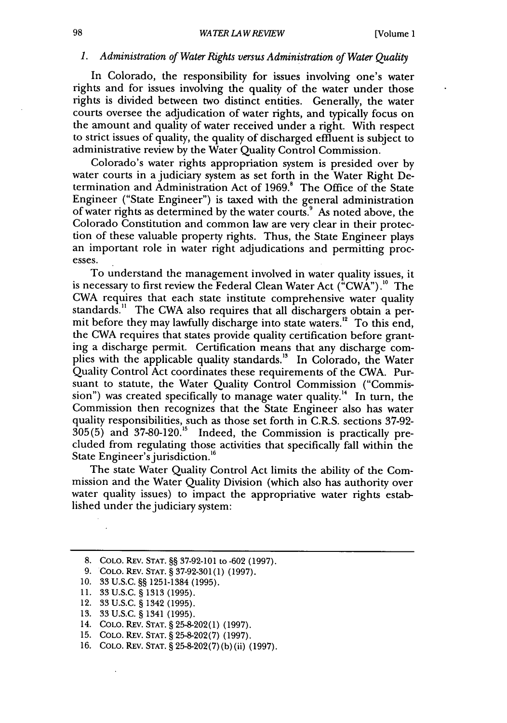#### *1. Administration of Water Rights versus Administration of Water Quality*

In Colorado, the responsibility for issues involving one's water rights and for issues involving the quality of the water under those rights is divided between two distinct entities. Generally, the water courts oversee the adjudication of water rights, and typically focus on the amount and quality of water received under a right. With respect to strict issues of quality, the quality of discharged effluent is subject to administrative review by the Water Quality Control Commission.

Colorado's water rights appropriation system is presided over by water courts in a judiciary system as set forth in the Water Right Determination and Administration Act of 1969.<sup>8</sup> The Office of the State Engineer ("State Engineer") is taxed with the general administration of water rights as determined by the water courts.' As noted above, the Colorado Constitution and common law are very clear in their protection of these valuable property rights. Thus, the State Engineer plays an important role in water right adjudications and permitting processes.

To understand the management involved in water quality issues, it is necessary to first review the Federal Clean Water Act ("CWA").<sup>10</sup> The CWA requires that each state institute comprehensive water quality standards." The CWA also requires that all dischargers obtain a permit before they may lawfully discharge into state waters." To this end, the CWA requires that states provide quality certification before granting a discharge permit. Certification means that any discharge complies with the applicable quality standards.<sup>13</sup> In Colorado, the Water Quality Control Act coordinates these requirements of the CWA. Pursuant to statute, the Water Quality Control Commission ("Commission") was created specifically to manage water quality.<sup>14</sup> In turn, the Commission then recognizes that the State Engineer also has water quality responsibilities, such as those set forth in C.R.S. sections 37-92-  $305(5)$  and  $37-80-120$ .<sup>15</sup> Indeed, the Commission is practically precluded from regulating those activities that specifically fall within the State Engineer's jurisdiction.<sup>16</sup>

The state Water Quality Control Act limits the ability of the Commission and the Water Quality Division (which also has authority over water quality issues) to impact the appropriative water rights established under the judiciary system:

13. 33 U.S.C. § 1341 (1995).

<sup>8.</sup> **COLO.** REv. **STAT.** §§ 37-92-101 to -602 (1997).

<sup>9.</sup> **COLO.** REV. **STAT.** § 37-92-301(1) (1997).

**<sup>10.</sup>** 33 U.S.C. §§ 1251-1384 (1995).

<sup>11. 33</sup> U.S.C. § 1313 (1995).

<sup>12. 33</sup> U.S.C. § 1342 (1995).

<sup>14.</sup> **COLO.** REv. **STAT.** § 25-8-202(1) (1997).

<sup>15.</sup> **COLO.** Rv. **STAT.** § 25-8-202(7) (1997).

<sup>16.</sup> COLO. REv. **STAT.** § 25-8-202(7) (b) (ii) (1997).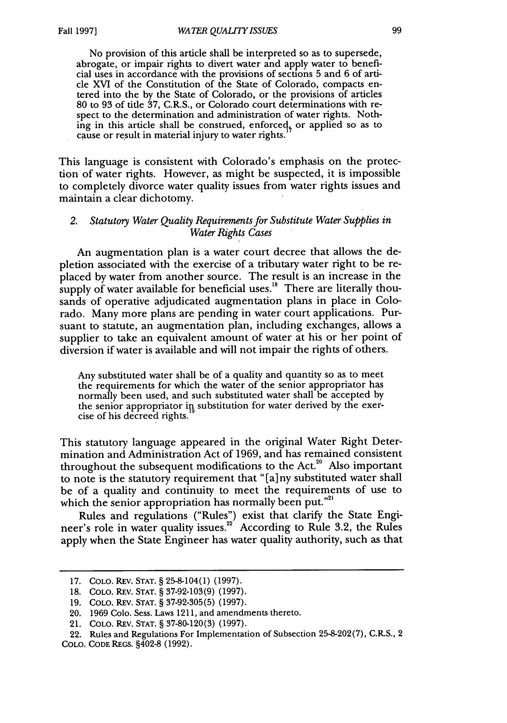No provision of this article shall be interpreted so as to supersede, abrogate, or impair rights to divert water and apply water to beneficial uses in accordance with the provisions of sections 5 and 6 of article XVI of the Constitution of the State of Colorado, compacts entered into the by the State of Colorado, or the provisions of articles 80 to 93 of title 37, C.R.S., or Colorado court determinations with respect to the determination and administration of water rights. Nothing in this article shall be construed, enforced, or applied so as to cause or result in material injury to water rights.

This language is consistent with Colorado's emphasis on the protection of water rights. However, as might be suspected, it is impossible to completely divorce water quality issues from water rights issues and maintain a clear dichotomy.

#### *2. Statutory Water Quality Requirements for Substitute Water Supplies in Water Rights Cases*

An augmentation plan is a water court decree that allows the depletion associated with the exercise of a tributary water right to be replaced by water from another source. The result is an increase in the supply of water available for beneficial uses.<sup>18</sup> There are literally thousands of operative adjudicated augmentation plans in place in Colorado. Many more plans are pending in water court applications. Pursuant to statute, an augmentation plan, including exchanges, allows a supplier to take an equivalent amount of water at his or her point of diversion if water is available and will not impair the rights of others.

Any substituted water shall be of a quality and quantity so as to meet the requirements for which the water of the senior appropriator has normally been used, and such substituted water shall be accepted by the senior appropriator in substitution for water derived by the exercise of his decreed rights.

This statutory language appeared in the original Water Right Determination and Administration Act of 1969, and has remained consistent throughout the subsequent modifications to the Act.<sup>20</sup> Also important to note is the statutory requirement that "[a] ny substituted water shall be of a quality and continuity to meet the requirements of use to which the senior appropriation has normally been put."<sup>21</sup>

Rules and regulations ("Rules") exist that clarify the State Engineer's role in water quality issues.<sup>22</sup> According to Rule 3.2, the Rules apply when the State Engineer has water quality authority, such as that

COLO. CODE REGS. §402-8 (1992).

<sup>17.</sup> COLO. REv. STAT. § 25-8-104(1) (1997).

<sup>18.</sup> COLO. REV. STAT. § 37-92-103(9) (1997).

<sup>19.</sup> COLO. REv. STAT. § 37-92-305(5) (1997).

<sup>20. 1969</sup> Colo. Sess. Laws 1211, and amendments thereto.

<sup>21.</sup> COLO. REv. STAT. § 37-80-120(3) (1997).

<sup>22.</sup> Rules and Regulations For Implementation of Subsection 25-8-202(7), C.R.S., 2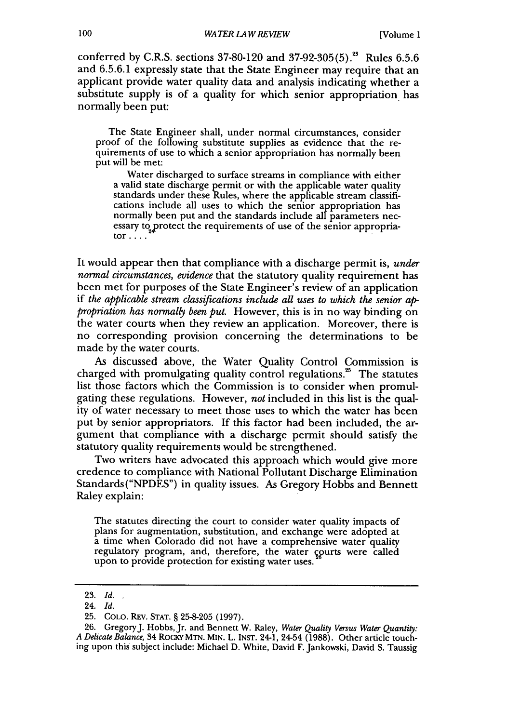conferred by C.R.S. sections  $37-80-120$  and  $37-92-305(5)$ .<sup>28</sup> Rules 6.5.6 and 6.5.6.1 expressly state that the State Engineer may require that an applicant provide water quality data and analysis indicating whether a substitute supply is of a quality for which senior appropriation. has normally been put:

The State Engineer shall, under normal circumstances, consider proof of the following substitute supplies as evidence that the requirements of use to which a senior appropriation has normally been put will be met:

Water discharged to surface streams in compliance with either a valid state discharge permit or with the applicable water quality standards under these Rules, where the applicable stream classifications include all uses to which the senior appropriation has normally been put and the standards include all parameters necessary to protect the requirements of use of the senior appropriator ....

It would appear then that compliance with a discharge permit is, *under normal circumstances, evidence* that the statutory quality requirement has been met for purposes of the State Engineer's review of an application if *the applicable stream classifications include all uses to which the senior appropriation has normally been put.* However, this is in no way binding on the water courts when they review an application. Moreover, there is no corresponding provision concerning the determinations to be made **by** the water courts.

As discussed above, the Water Quality Control Commission is charged with promulgating quality control regulations.<sup>25</sup> The statutes list those factors which the Commission is to consider when promulgating these regulations. However, *not* included in this list is the quality of water necessary to meet those uses to which the water has been put **by** senior appropriators. If this factor had been included, the argument that compliance with a discharge permit should satisfy the statutory quality requirements would be strengthened.

Two writers have advocated this approach which would give more credence to compliance with National Pollutant Discharge Elimination Standards("NPDES") in quality issues. As Gregory Hobbs and Bennett Raley explain:

The statutes directing the court to consider water quality impacts of plans for augmentation, substitution, and exchange were adopted at a time when Colorado did not have a comprehensive water quality regulatory program, and, therefore, the water courts were called upon to provide protection for existing water uses.

<sup>23.</sup> *Id.*

<sup>24.</sup> *Id.*

<sup>25.</sup> COLO. REv. **STAT.** § 25-8-205 (1997).

<sup>26.</sup> GregoryJ. Hobbs, Jr. and Bennett W. Raley, *Water Quality Versus Water Quantity: A Delicate Balance,* 34 RocKY **MTN.** MIN. L. INST. 24-1, 24-54 (1988). Other article touching upon this subject include: Michael D. White, David F. Jankowski, David S. Taussig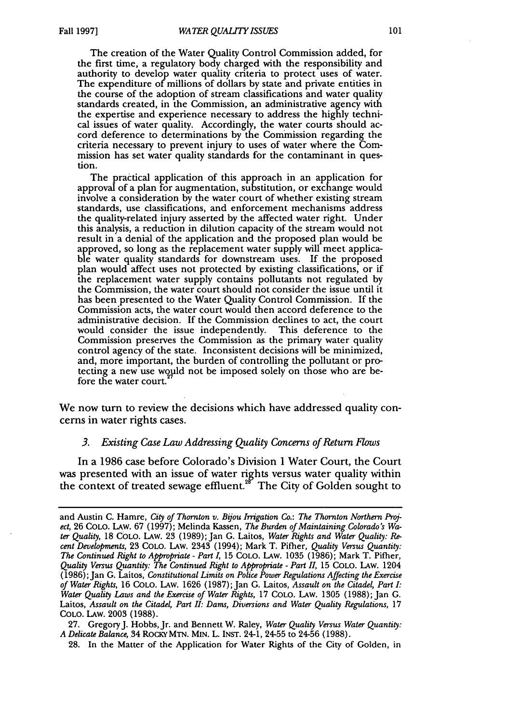The creation of the Water Quality Control Commission added, for the first time, a regulatory body charged with the responsibility and authority to develop water quality criteria to protect uses of water. The expenditure of millions of dollars **by** state and private entities in the course of the adoption of stream classifications and water quality standards created, in the Commission, an administrative agency with the expertise and experience necessary to address the **highly** technical issues of water quality. Accordingly, the water courts should accord deference to determinations by the Commission regarding the criteria necessary to prevent injury to uses of water where the Commission has set water quality standards for the contaminant in question.

The practical application of this approach in an application for approval of a plan for augmentation, substitution, or exchange would involve a consideration **by** the water court of whether existing stream standards, use classifications, and enforcement mechanisms address the quality-related injury asserted **by** the affected water right. Under this analysis, a reduction in dilution capacity of the stream would not result in a denial of the application and the proposed plan would be approved, so long as the replacement water supply will meet applicable water quality standards for downstream uses. If the proposed plan would affect uses not protected **by** existing classifications, or if the replacement water supply contains pollutants not regulated **by** the Commission, the water court should not consider the issue until it has been presented to the Water Quality Control Commission. If the Commission acts, the water court would then accord deference to the administrative decision. **If** the Commission declines to act, the court would consider the issue independently. This deference to the Commission preserves the Commission as the primary water quality control agency of the state. Inconsistent decisions will be minimized, and, more important, the burden of controlling the pollutant or protecting a new use would not be imposed solely on those who are before the water court.

We now turn to review the decisions which have addressed quality concerns in water rights cases.

#### *3. Existing Case Law Addressing Quality Concerns of Return Flows*

In a 1986 case before Colorado's Division 1 Water Court, the Court was presented with an issue of water rights versus water quality within the context of treated sewage effluent.<sup>28</sup> The City of Golden sought to

27. GregoryJ. Hobbs, Jr. and Bennett W. Raley, *Water Quality Versus Water Quantity: A Delicate Balance,* 34 RocKy MTN. MIN. L. INST. 24-1, 24-55 to 24-56 (1988).

**28.** In the Matter of the Application for Water Rights of the City of Golden, in

and Austin C. Hamre, *City of Thornton v. Bijou Irrigation Co.: The Thornton Northern Project,* 26 COLO. LAw. 67 (1997); Melinda Kassen, *The Burden of Maintaining Colorado's Water Quality,* 18 COLO. LAw. 23 (1989); Jan G. Laitos, *Water Rights and Water Quality: Recent Developments,* 23 COLO. LAw. 2343 (1994); Mark T. Pifher, *Quality Versus Quantity: The Continued Right to Appropriate* - *Part 1,* 15 COLO. LAw. 1035 (1986); Mark T. Pifher, *Quality Versus Quantity: The Continued Right to Appropriate* - *Part II,* 15 COLO. **LAW.** 1204 (1986); Jan G. Laitos, *Constitutional Limits on Police Power Regulations Affecting the Exercise of Water Rights,* 16 COLO. LAw. 1626 (1987);Jan G. Laitos, *Assault on the Citadel, Part I: Water Quality Laws and the Exercise of Water Rights,* 17 COLO. LAw. 1305 (1988); Jan **G.** Laitos, *Assault on the Citadel, Part II: Dams, Diversions and Water Quality Regulations*, 17 COLO. LAw. 2003 (1988).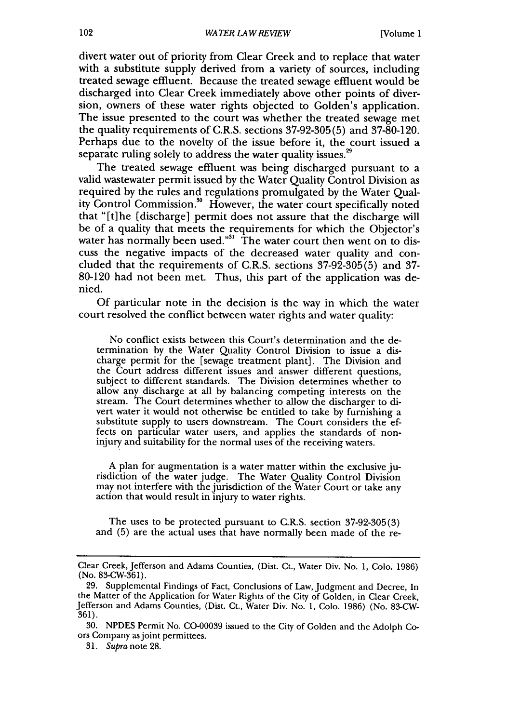divert water out of priority from Clear Creek and to replace that water with a substitute supply derived from a variety of sources, including treated sewage effluent. Because the treated sewage effluent would be discharged into Clear Creek immediately above other points of diversion, owners of these water rights objected to Golden's application. The issue presented to the court was whether the treated sewage met the quality requirements of C.R.S. sections 37-92-305(5) and 37-80-120. Perhaps due to the novelty of the issue before it, the court issued a separate ruling solely to address the water quality issues.<sup>29</sup>

The treated sewage effluent was being discharged pursuant to a valid wastewater permit issued by the Water Quality Control Division as required by the rules and regulations promulgated by the Water Quality Control Commission."0 However, the water court specifically noted that "[t]he (discharge] permit does not assure that the discharge will be of a quality that meets the requirements for which the Objector's water has normally been used."<sup>31</sup> The water court then went on to discuss the negative impacts of the decreased water quality and concluded that the requirements of C.R.S. sections 37-92-305(5) and 37- 80-120 had not been met. Thus, this part of the application was denied.

Of particular note in the decision is the way in which the water court resolved the conflict between water rights and water quality:

No conflict exists between this Court's determination and the determination by the Water Quality Control Division to issue a discharge permit for the [sewage treatment plant]. The Division and the Court address different issues and answer different questions, subject to different standards. The Division determines whether to allow any discharge at all by balancing competing interests on the stream. The Court determines whether to allow the discharger to divert water it would not otherwise be entitled to take by furnishing a substitute supply to users downstream. The Court considers the effects on particular water users, and applies the standards of noninjury and suitability for the normal uses of the receiving waters.

A plan for augmentation is a water matter within the exclusive ju- risdiction of the water judge. The Water Quality Control Division may not interfere with the jurisdiction of the Water Court or take any action that would result in injury to water rights.

The uses to be protected pursuant to C.R.S. section 37-92-305(3) and (5) are the actual uses that have normally been made of the re-

Clear Creek, Jefferson and Adams Counties, (Dist. Ct., Water Div. No. 1, Colo. 1986) (No. 83-CW-361).

<sup>29.</sup> Supplemental Findings of Fact, Conclusions of Law, Judgment and Decree, In the Matter of the Application for Water Rights of the City of Golden, in Clear Creek, Jefferson and Adams Counties, (Dist. Ct., Water Div. No. 1, Colo. 1986) (No. 83-CW-361).

<sup>30.</sup> NPDES Permit No. CO-00039 issued to the City of Golden and the Adolph Coors Company as joint permittees.

<sup>31.</sup> Supra note 28.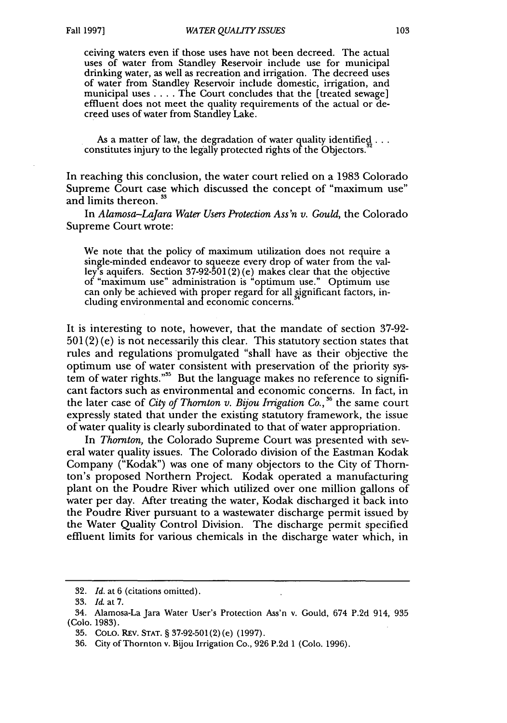ceiving waters even if those uses have not been decreed. The actual uses of water from Standley Reservoir include use for municipal drinking water, as well as recreation and irrigation. The decreed uses of water from Standley Reservoir include domestic, irrigation, and municipal uses .... The Court concludes that the [treated sewage] effluent does not meet the quality requirements of the actual or decreed uses of water from Standley Lake.

As a matter of law, the degradation of water quality identified... constitutes injury to the legally protected rights of the Objectors."

In reaching this conclusion, the water court relied on a 1983 Colorado Supreme Court case which discussed the concept of "maximum use" and limits thereon.<sup>33</sup>

In *Alamosa-Lajara Water Users Protection Ass'n v. Gould,* the Colorado Supreme Court wrote:

We note that the policy of maximum utilization does not require a single-minded endeavor to squeeze every drop of water from the valley's aquifers. Section 37-92-501(2) (e) makes clear that the objective of "maximum use" administration is "optimum use." Optimum use can only be achieved with proper regard for all significant factors, including environmental and economic concerns.

It is interesting to note, however, that the mandate of section 37-92-  $501(2)$  (e) is not necessarily this clear. This statutory section states that rules and regulations promulgated "shall have as their objective the optimum use of water consistent with preservation of the priority system of water rights."<sup>35</sup> But the language makes no reference to significant factors such as environmental and economic concerns. In fact, in the later case of *City of Thornton v. Bijou Irrigation Co., 36* the same court expressly stated that under the existing statutory framework, the issue of water quality is clearly subordinated to that of water appropriation.

In *Thornton,* the Colorado Supreme Court was presented with several water quality issues. The Colorado division of the Eastman Kodak Company ("Kodak") was one of many objectors to the City of Thornton's proposed Northern Project. Kodak operated a manufacturing plant on the Poudre River which utilized over one million gallons of water per day. After treating the water, Kodak discharged it back into the Poudre River pursuant to a wastewater discharge permit issued by the Water Quality Control Division. The discharge permit specified effluent limits for various chemicals in the discharge water which, in

<sup>32.</sup> *Id.* at 6 (citations omitted).

<sup>33.</sup> *Id.* at **7.**

<sup>34.</sup> Alamosa-La Jara Water User's Protection Ass'n v. Gould, 674 P.2d 914, 935 (Colo. 1983).

<sup>35.</sup> COLO. REv. **STAT.** § 37-92-501 (2) (e) (1997).

<sup>36.</sup> City of Thornton v. Bijou Irrigation Co., 926 P.2d 1 (Colo. 1996).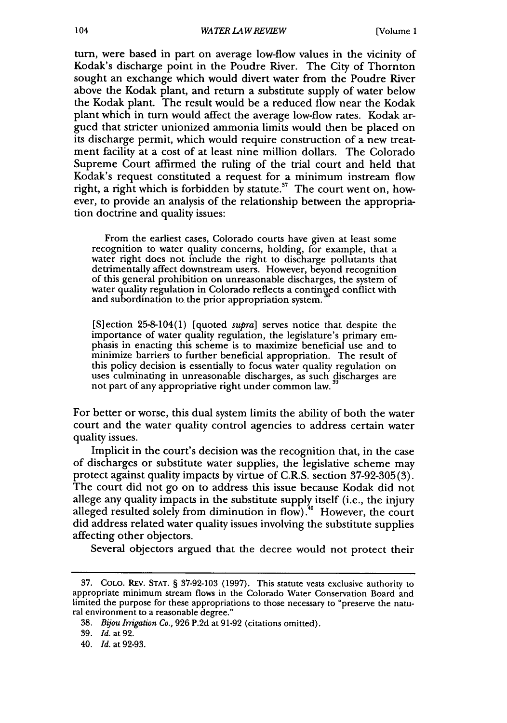turn, were based in part on average low-flow values in the vicinity of Kodak's discharge point in the Poudre River. The City of Thornton sought an exchange which would divert water from the Poudre River above the Kodak plant, and return a substitute supply of water below the Kodak plant. The result would be a reduced flow near the Kodak plant which in turn would affect the average low-flow rates. Kodak argued that stricter unionized ammonia limits would then be placed on its discharge permit, which would require construction of a new treatment facility at a cost of at least nine million dollars. The Colorado Supreme Court affirmed the ruling of the trial court and held that Kodak's request constituted a request for a minimum instream flow right, a right which is forbidden by statute.<sup>37</sup> The court went on, however, to provide an analysis of the relationship between the appropriation doctrine and quality issues:

From the earliest cases, Colorado courts have given at least some recognition to water quality concerns, holding, for example, that a water right does not include the right to discharge pollutants that detrimentally affect downstream users. However, beyond recognition of this general prohibition on unreasonable discharges, the system of water quality regulation in Colorado reflects a continued conflict with and subordination to the prior appropriation system.

[S]ection 25-8-104(1) [quoted *supra]* serves notice that despite the importance of water quality regulation, the legislature's primary emphasis in enacting this scheme is to maximize beneficial use and to minimize barriers to further beneficial appropriation. The result of this policy decision is essentially to focus water quality regulation on uses culminating in unreasonable discharges, as such discharges are not part of any appropriative right under common law. **<sup>39</sup>**

For better or worse, this dual system limits the ability of both the water court and the water quality control agencies to address certain water quality issues.

Implicit in the court's decision was the recognition that, in the case of discharges or substitute water supplies, the legislative scheme may protect against quality impacts by virtue of C.R.S. section 37-92-305(3). The court did not go on to address this issue because Kodak did not allege any quality impacts in the substitute supply itself (i.e., the injury alleged resulted solely from diminution in flow). **4** However, the court did address related water quality issues involving the substitute supplies affecting other objectors.

Several objectors argued that the decree would not protect their

<sup>37.</sup> COLO. REv. STAT. § 37-92-103 (1997). This statute vests exclusive authority to appropriate minimum stream flows in the Colorado Water Conservation Board and limited the purpose for these appropriations to those necessary to "preserve the natural environment to a reasonable degree."

<sup>38.</sup> *Bijou Irrigation Co.,* 926 P.2d at 91-92 (citations omitted).

<sup>39.</sup> *Id.* at 92.

<sup>40.</sup> Id. at 92-93.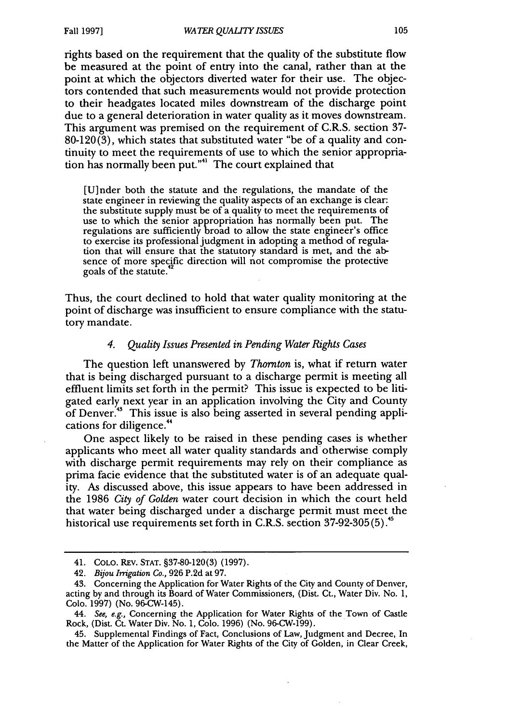rights based on the requirement that the quality of the substitute flow be measured at the point of entry into the canal, rather than at the point at which the objectors diverted water for their use. The objectors contended that such measurements would not provide protection to their headgates located miles downstream of the discharge point due to a general deterioration in water quality as it moves downstream. This argument was premised on the requirement of C.R.S. section **37-** 80-120(3), which states that substituted water "be of a quality and continuity to meet the requirements of use to which the senior appropriation has normally been put."" The court explained that

[U]nder both the statute and the regulations, the mandate of the state engineer in reviewing the quality aspects of an exchange is clear: the substitute supply must be of a quality to meet the requirements of use to which the senior appropriation has normally been put. The regulations are sufficiently broad to allow the state engineer's office to exercise its professional judgment in adopting a method of regulation that will ensure that the statutory standard is met, and the absence of more specific direction will not compromise the protective goals of the statute.4

Thus, the court declined to hold that water quality monitoring at the point of discharge was insufficient to ensure compliance with the statutory mandate.

#### *4. Quality Issues Presented in Pending Water Rights Cases*

The question left unanswered by *Thornton* is, what if return water that is being discharged pursuant to a discharge permit is meeting all effluent limits set forth in the permit? This issue is expected to be litigated early next year in an application involving the City and County of Denver.<sup>48</sup> This issue is also being asserted in several pending applications for diligence.<sup>44</sup>

One aspect likely to be raised in these pending cases is whether applicants who meet all water quality standards and otherwise comply with discharge permit requirements may rely on their compliance as prima facie evidence that the substituted water is of an adequate quality. As discussed above, this issue appears to have been addressed in the 1986 *City of Golden* water court decision in which the court held that water being discharged under a discharge permit must meet the historical use requirements set forth in C.R.S. section 37-92-305(5) **.**

<sup>41.</sup> COLO. REV. **STAT. §37-80-120(3) (1997).**

<sup>42.</sup> *Bijou Irrigation Co.,* **926 P.2d** at **97.**

<sup>43.</sup> Concerning the Application for Water Rights of the City and County of Denver, acting **by** and through its Board of Water Commissioners, (Dist. Ct., Water Div. No. **1, Colo. 1997)** (No. 96-CW-145).

<sup>44.</sup> *See, e.g.,* Concerning the Application for Water Rights of the Town of Castle Rock, (Dist. Ct. Water Div. No. 1, **Colo. 1996)** (No. **96-CW-199).**

<sup>45.</sup> Supplemental Findings of Fact, Conclusions of Law, Judgment and Decree, In the Matter of the Application for Water Rights of the City of Golden, in Clear Creek,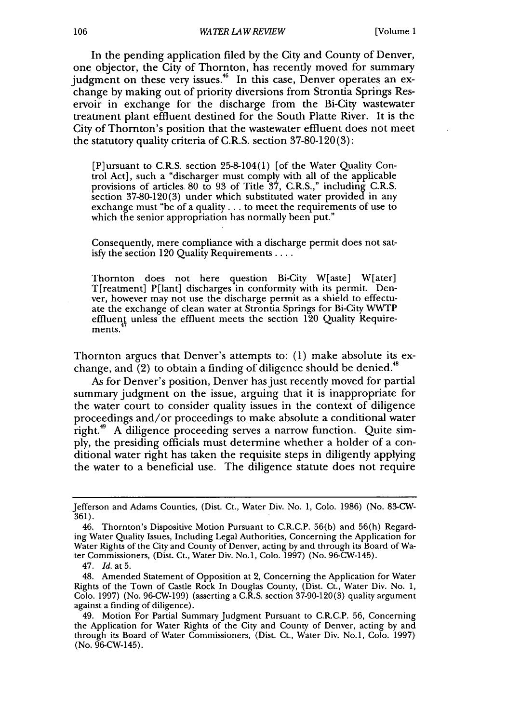In the pending application filed by the City and County of Denver, one objector, the City of Thornton, has recently moved for summary judgment on these very issues.<sup>46</sup> In this case, Denver operates an exchange by making out of priority diversions from Strontia Springs Reservoir in exchange for the discharge from the Bi-City wastewater treatment plant effluent destined for the South Platte River. It is the City of Thornton's position that the wastewater effluent does not meet the statutory quality criteria of C.R.S. section 37-80-120(3):

[P]ursuant to C.R.S. section 25-8-104(1) [of the Water Quality Control Act], such a "discharger must comply with all of the applicable provisions of articles 80 to 93 of Title 37, C.R.S.," including C.R.S. section 37-80-120(3) under which substituted water provided in any exchange must "be of a quality.., to meet the requirements of use to which the senior appropriation has normally been put."

Consequently, mere compliance with a discharge permit does not satisfy the section 120 Quality Requirements ....

Thornton does not here question Bi-City W[aste] W[ater] T[reatment] P[lant] discharges in conformity with its permit. Denver, however may not use the discharge permit as a shield to effectuate the exchange of clean water at Strontia Springs for Bi-City WWTP effluent unless the effluent meets the section  $120$  Quality Requirements.

Thornton argues that Denver's attempts to: (1) make absolute its exchange, and  $(2)$  to obtain a finding of diligence should be denied.<sup>48</sup>

As for Denver's position, Denver has just recently moved for partial summary judgment on the issue, arguing that it is inappropriate for the water court to consider quality issues in the context of diligence proceedings and/or proceedings to make absolute a conditional water right.<sup>49</sup> A diligence proceeding serves a narrow function. Quite simply, the presiding officials must determine whether a holder of a conditional water right has taken the requisite steps in diligently applying the water to a beneficial use. The diligence statute does not require

Jefferson and Adams Counties, (Dist. Ct., Water Div. No. 1, Colo. 1986) (No. 83-CW-361).

<sup>46.</sup> Thornton's Dispositive Motion Pursuant to C.R.C.P. 56(b) and 56(h) Regarding Water Quality Issues, Including Legal Authorities, Concerning the Application for Water Rights of the City and County of Denver, acting by and through its Board of Water Commissioners, (Dist. Ct., Water Div. No.1, Colo. 1997) (No. 96-CW-145).

<sup>47.</sup> *Id.* at 5.

<sup>48.</sup> Amended Statement of Opposition at 2, Concerning the Application for Water Rights of the Town of Castle Rock In Douglas County, (Dist. Ct., Water Div. No. 1, Colo. 1997) (No. 96-CW-199) (asserting a C.R.S. section 37-90-120(3) quality argument against a finding of diligence).

<sup>49.</sup> Motion For Partial Summary Judgment Pursuant to C.R.C.P. 56, Concerning the Application for Water Rights of the City and County of Denver, acting by and through its Board of Water Commissioners, (Dist. Ct., Water Div. No.1, Colo. 1997) (No. 96-CW-145).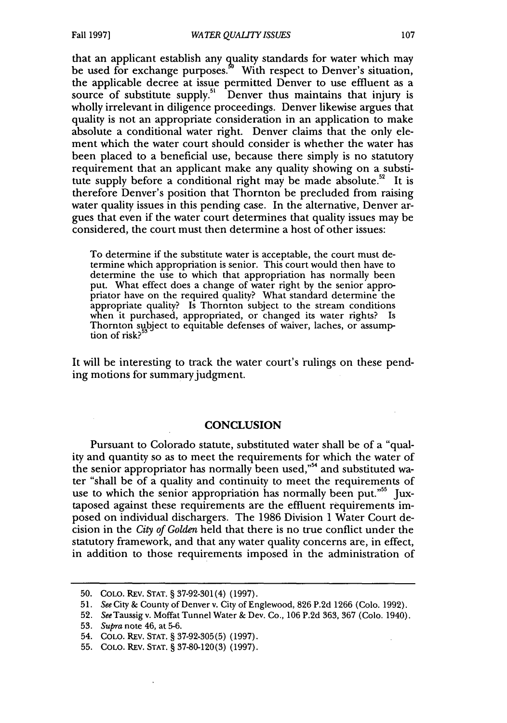that an applicant establish any quality standards for water which may be used for exchange purposes.<sup>50</sup> With respect to Denver's situation, the applicable decree at issue permitted Denver to use effluent as a source of substitute supply.<sup>51</sup> Denver thus maintains that injury is wholly irrelevant in diligence proceedings. Denver likewise argues that quality is not an appropriate consideration in an application to make absolute a conditional water right. Denver claims that the only element which the water court should consider is whether the water has been placed to a beneficial use, because there simply is no statutory requirement that an applicant make any quality showing on a substitute supply before a conditional right may be made absolute.<sup>52</sup> It is therefore Denver's position that Thornton be precluded from raising water quality issues in this pending case. In the alternative, Denver argues that even if the water court determines that quality issues may be considered, the court must then determine a host of other issues:

To determine if the substitute water is acceptable, the court must determine which appropriation is senior. This court would then have to determine the use to which that appropriation has normally been<br>put. What effect does a change of water right by the senior appropriator have on the required quality? What standard determine the appropriate quality? Is Thornton subject to the stream conditions when it purchased, appropriated, or changed its water rights? Is Thornton subject to equitable defenses of waiver, laches, or assump-<br>tion of risk?<sup>53</sup>

It will be interesting to track the water court's rulings on these pending motions for summary judgment.

### **CONCLUSION**

Pursuant to Colorado statute, substituted water shall be of a "quality and quantity so as to meet the requirements for which the water of the senior appropriator has normally been used,"<sup>54</sup> and substituted water "shall be of a quality and continuity to meet the requirements of use to which the senior appropriation has normally been put."<sup>55</sup> Juxtaposed against these requirements are the effluent requirements imposed on individual dischargers. The 1986 Division 1 Water Court decision in the *City* of *Golden* held that there is no true conflict under the statutory framework, and that any water quality concerns are, in effect, in addition to those requirements imposed in the administration of

<sup>50.</sup> COLO. REv. STAT. § 37-92-301(4) (1997).

<sup>51.</sup> *See* City & County of Denver v. City of Englewood, 826 P.2d 1266 (Colo. 1992).

**<sup>52.</sup>** SeeTaussigv. Moffat Tunnel Water & Dev. Co., **106** P.2d 363, 367 (Colo. 1940).

<sup>53.</sup> *Supra* note 46, at 5-6.

<sup>54.</sup> COLO. REv. STAT. § 37-92-305(5) (1997).

<sup>55.</sup> COLO. REv. STAT. § 37-80-120(3) (1997).